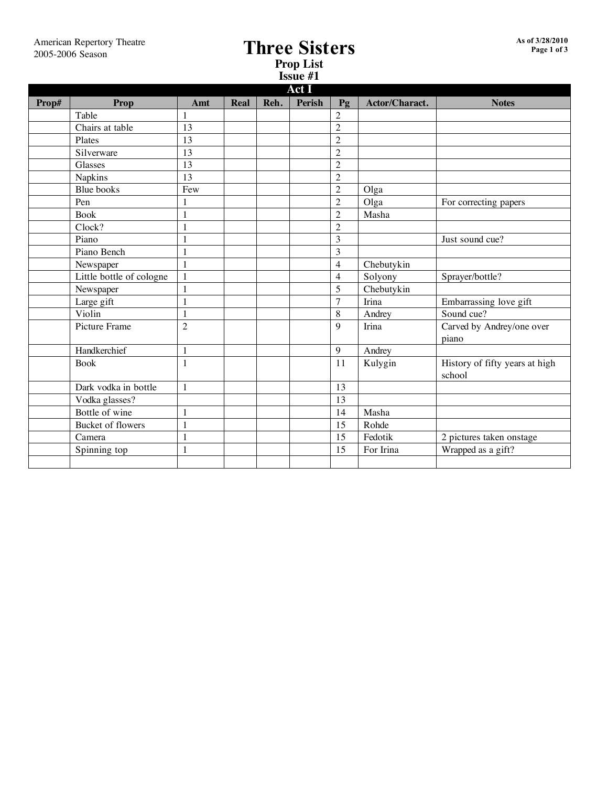**Three Sisters Prop List**

| <b>Issue #1</b> |                          |                 |      |      |               |                |                       |                                |  |
|-----------------|--------------------------|-----------------|------|------|---------------|----------------|-----------------------|--------------------------------|--|
| Act I           |                          |                 |      |      |               |                |                       |                                |  |
| Prop#           | Prop                     | Amt             | Real | Reh. | <b>Perish</b> | Pg             | <b>Actor/Charact.</b> | <b>Notes</b>                   |  |
|                 | Table                    |                 |      |      |               | $\overline{2}$ |                       |                                |  |
|                 | Chairs at table          | 13              |      |      |               | $\overline{2}$ |                       |                                |  |
|                 | Plates                   | 13              |      |      |               | $\overline{2}$ |                       |                                |  |
|                 | Silverware               | 13              |      |      |               | $\overline{2}$ |                       |                                |  |
|                 | Glasses                  | $\overline{13}$ |      |      |               | $\overline{2}$ |                       |                                |  |
|                 | <b>Napkins</b>           | 13              |      |      |               | $\overline{2}$ |                       |                                |  |
|                 | <b>Blue books</b>        | Few             |      |      |               | $\overline{2}$ | Olga                  |                                |  |
|                 | Pen                      |                 |      |      |               | $\overline{2}$ | Olga                  | For correcting papers          |  |
|                 | <b>Book</b>              | 1               |      |      |               | $\overline{2}$ | Masha                 |                                |  |
|                 | Clock?                   |                 |      |      |               | $\overline{2}$ |                       |                                |  |
|                 | Piano                    |                 |      |      |               | 3              |                       | Just sound cue?                |  |
|                 | Piano Bench              |                 |      |      |               | 3              |                       |                                |  |
|                 | Newspaper                | $\mathbf{1}$    |      |      |               | $\overline{4}$ | Chebutykin            |                                |  |
|                 | Little bottle of cologne | $\mathbf{1}$    |      |      |               | $\overline{4}$ | Solyony               | Sprayer/bottle?                |  |
|                 | Newspaper                | 1               |      |      |               | 5              | Chebutykin            |                                |  |
|                 | Large gift               | 1               |      |      |               | $\overline{7}$ | Irina                 | Embarrassing love gift         |  |
|                 | Violin                   | 1               |      |      |               | 8              | Andrey                | Sound cue?                     |  |
|                 | Picture Frame            | $\overline{2}$  |      |      |               | 9              | Irina                 | Carved by Andrey/one over      |  |
|                 |                          |                 |      |      |               |                |                       | piano                          |  |
|                 | Handkerchief             | $\mathbf{1}$    |      |      |               | 9              | Andrey                |                                |  |
|                 | <b>Book</b>              | $\mathbf{1}$    |      |      |               | 11             | Kulygin               | History of fifty years at high |  |
|                 |                          |                 |      |      |               |                |                       | school                         |  |
|                 | Dark vodka in bottle     | $\mathbf{1}$    |      |      |               | 13             |                       |                                |  |
|                 | Vodka glasses?           |                 |      |      |               | 13             |                       |                                |  |
|                 | Bottle of wine           | 1               |      |      |               | 14             | Masha                 |                                |  |
|                 | Bucket of flowers        | 1               |      |      |               | 15             | Rohde                 |                                |  |
|                 | Camera                   | 1               |      |      |               | 15             | Fedotik               | 2 pictures taken onstage       |  |
|                 | Spinning top             | 1               |      |      |               | 15             | For Irina             | Wrapped as a gift?             |  |
|                 |                          |                 |      |      |               |                |                       |                                |  |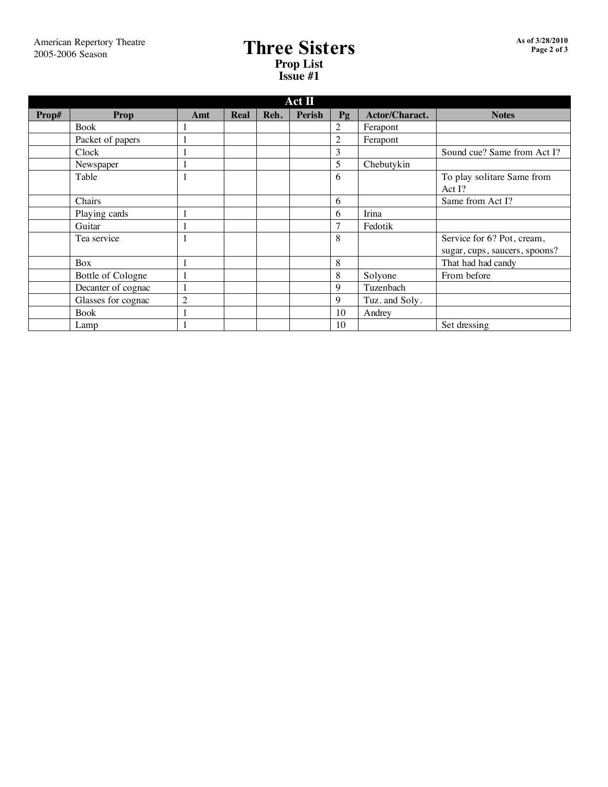## **Three Sisters Prop List Issue #1**

| $Act \Pi$ |                    |                |      |      |               |    |                |                                      |
|-----------|--------------------|----------------|------|------|---------------|----|----------------|--------------------------------------|
| Prop#     | Prop               | Amt            | Real | Reh. | <b>Perish</b> | Pg | Actor/Charact. | <b>Notes</b>                         |
|           | <b>Book</b>        |                |      |      |               | 2  | Ferapont       |                                      |
|           | Packet of papers   |                |      |      |               | 2  | Ferapont       |                                      |
|           | Clock              |                |      |      |               | 3  |                | Sound cue? Same from Act I?          |
|           | Newspaper          |                |      |      |               | 5  | Chebutykin     |                                      |
|           | Table              | 1              |      |      |               | 6  |                | To play solitare Same from<br>Act I? |
|           | Chairs             |                |      |      |               | 6  |                | Same from Act I?                     |
|           | Playing cards      |                |      |      |               | 6  | Irina          |                                      |
|           | Guitar             |                |      |      |               | 7  | Fedotik        |                                      |
|           | Tea service        | $\mathbf{1}$   |      |      |               | 8  |                | Service for 6? Pot, cream,           |
|           |                    |                |      |      |               |    |                | sugar, cups, saucers, spoons?        |
|           | Box                | 1              |      |      |               | 8  |                | That had had candy                   |
|           | Bottle of Cologne  | 1              |      |      |               | 8  | Solyone        | From before                          |
|           | Decanter of cognac |                |      |      |               | 9  | Tuzenbach      |                                      |
|           | Glasses for cognac | $\overline{2}$ |      |      |               | 9  | Tuz. and Soly. |                                      |
|           | <b>Book</b>        |                |      |      |               | 10 | Andrey         |                                      |
|           | Lamp               |                |      |      |               | 10 |                | Set dressing                         |